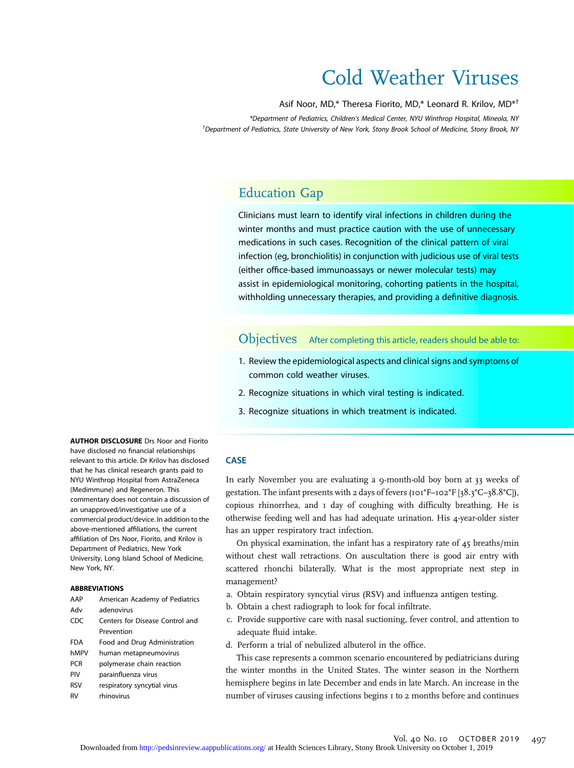# Cold Weather Viruses

#### Asif Noor, MD,\* Theresa Fiorito, MD,\* Leonard R. Krilov, MD\*†

\*Department of Pediatrics, Children's Medical Center, NYU Winthrop Hospital, Mineola, NY † Department of Pediatrics, State University of New York, Stony Brook School of Medicine, Stony Brook, NY

# Education Gap

Clinicians must learn to identify viral infections in children during the winter months and must practice caution with the use of unnecessary medications in such cases. Recognition of the clinical pattern of viral infection (eg, bronchiolitis) in conjunction with judicious use of viral tests (either office-based immunoassays or newer molecular tests) may assist in epidemiological monitoring, cohorting patients in the hospital, withholding unnecessary therapies, and providing a definitive diagnosis.

### Objectives After completing this article, readers should be able to:

- 1. Review the epidemiological aspects and clinical signs and symptoms of common cold weather viruses.
- 2. Recognize situations in which viral testing is indicated.
- 3. Recognize situations in which treatment is indicated.

#### CASE

In early November you are evaluating a 9-month-old boy born at 33 weeks of gestation. The infant presents with 2 days of fevers (101°F–102°F [38.3°C–38.8°C]), copious rhinorrhea, and 1 day of coughing with difficulty breathing. He is otherwise feeding well and has had adequate urination. His 4-year-older sister has an upper respiratory tract infection.

On physical examination, the infant has a respiratory rate of  $45$  breaths/min without chest wall retractions. On auscultation there is good air entry with scattered rhonchi bilaterally. What is the most appropriate next step in management?

- a. Obtain respiratory syncytial virus (RSV) and influenza antigen testing.
- b. Obtain a chest radiograph to look for focal infiltrate.
- c. Provide supportive care with nasal suctioning, fever control, and attention to adequate fluid intake.
- d. Perform a trial of nebulized albuterol in the office.

This case represents a common scenario encountered by pediatricians during the winter months in the United States. The winter season in the Northern hemisphere begins in late December and ends in late March. An increase in the number of viruses causing infections begins 1 to 2 months before and continues

AUTHOR DISCLOSURE Drs Noor and Fiorito have disclosed no financial relationships relevant to this article. Dr Krilov has disclosed that he has clinical research grants paid to NYU Winthrop Hospital from AstraZeneca (Medimmune) and Regeneron. This commentary does not contain a discussion of an unapproved/investigative use of a commercial product/device. In addition to the above-mentioned affiliations, the current affiliation of Drs Noor, Fiorito, and Krilov is Department of Pediatrics, New York University, Long Island School of Medicine, New York, NY.

#### ABBREVIATIONS

| AAP        | American Academy of Pediatrics  |
|------------|---------------------------------|
| Adv        | adenovirus                      |
| <b>CDC</b> | Centers for Disease Control and |
|            | Prevention                      |
| <b>FDA</b> | Food and Drug Administration    |
| hMPV       | human metapneumovirus           |
| PCR        | nolymerase chain reaction       |

- PCR polymerase chain reaction
- PIV parainfluenza virus
- RSV respiratory syncytial virus
- RV rhinovirus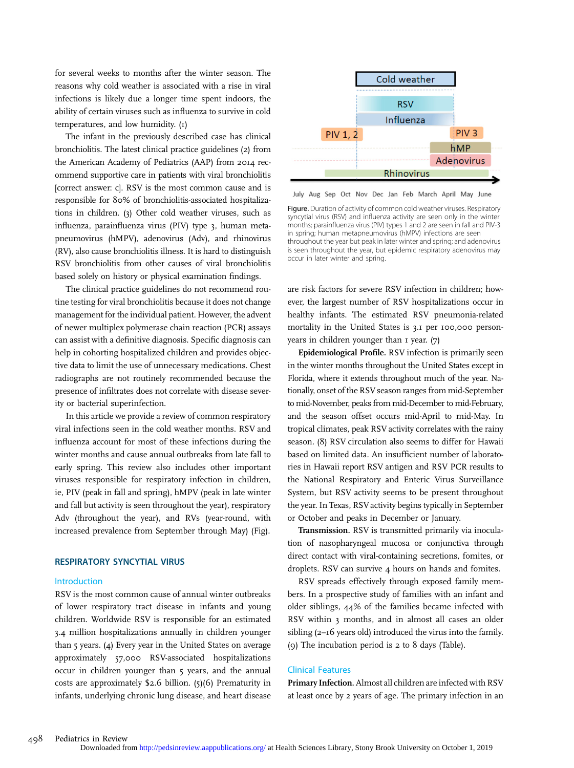for several weeks to months after the winter season. The reasons why cold weather is associated with a rise in viral infections is likely due a longer time spent indoors, the ability of certain viruses such as influenza to survive in cold temperatures, and low humidity. (1)

The infant in the previously described case has clinical bronchiolitis. The latest clinical practice guidelines (2) from the American Academy of Pediatrics (AAP) from 2014 recommend supportive care in patients with viral bronchiolitis [correct answer: c]. RSV is the most common cause and is responsible for 80% of bronchiolitis-associated hospitalizations in children. (3) Other cold weather viruses, such as influenza, parainfluenza virus (PIV) type 3, human metapneumovirus (hMPV), adenovirus (Adv), and rhinovirus (RV), also cause bronchiolitis illness. It is hard to distinguish RSV bronchiolitis from other causes of viral bronchiolitis based solely on history or physical examination findings.

The clinical practice guidelines do not recommend routine testing for viral bronchiolitis because it does not change management for the individual patient. However, the advent of newer multiplex polymerase chain reaction (PCR) assays can assist with a definitive diagnosis. Specific diagnosis can help in cohorting hospitalized children and provides objective data to limit the use of unnecessary medications. Chest radiographs are not routinely recommended because the presence of infiltrates does not correlate with disease severity or bacterial superinfection.

In this article we provide a review of common respiratory viral infections seen in the cold weather months. RSV and influenza account for most of these infections during the winter months and cause annual outbreaks from late fall to early spring. This review also includes other important viruses responsible for respiratory infection in children, ie, PIV (peak in fall and spring), hMPV (peak in late winter and fall but activity is seen throughout the year), respiratory Adv (throughout the year), and RVs (year-round, with increased prevalence from September through May) (Fig).

#### RESPIRATORY SYNCYTIAL VIRUS

#### Introduction

RSV is the most common cause of annual winter outbreaks of lower respiratory tract disease in infants and young children. Worldwide RSV is responsible for an estimated 3.4 million hospitalizations annually in children younger than 5 years. (4) Every year in the United States on average approximately 57,000 RSV-associated hospitalizations occur in children younger than 5 years, and the annual costs are approximately \$2.6 billion. (5)(6) Prematurity in infants, underlying chronic lung disease, and heart disease



July Aug Sep Oct Nov Dec Jan Feb March April May June

Figure. Duration of activity of common cold weather viruses. Respiratory syncytial virus (RSV) and influenza activity are seen only in the winter months; parainfluenza virus (PIV) types 1 and 2 are seen in fall and PIV-3 in spring; human metapneumovirus (hMPV) infections are seen throughout the year but peak in later winter and spring; and adenovirus is seen throughout the year, but epidemic respiratory adenovirus may occur in later winter and spring.

are risk factors for severe RSV infection in children; however, the largest number of RSV hospitalizations occur in healthy infants. The estimated RSV pneumonia-related mortality in the United States is 3.1 per 100,000 personyears in children younger than 1 year. (7)

Epidemiological Profile. RSV infection is primarily seen in the winter months throughout the United States except in Florida, where it extends throughout much of the year. Nationally, onset of the RSV season ranges from mid-September to mid-November, peaks from mid-December to mid-February, and the season offset occurs mid-April to mid-May. In tropical climates, peak RSV activity correlates with the rainy season. (8) RSV circulation also seems to differ for Hawaii based on limited data. An insufficient number of laboratories in Hawaii report RSV antigen and RSV PCR results to the National Respiratory and Enteric Virus Surveillance System, but RSV activity seems to be present throughout the year. In Texas, RSV activity begins typically in September or October and peaks in December or January.

Transmission. RSV is transmitted primarily via inoculation of nasopharyngeal mucosa or conjunctiva through direct contact with viral-containing secretions, fomites, or droplets. RSV can survive 4 hours on hands and fomites.

RSV spreads effectively through exposed family members. In a prospective study of families with an infant and older siblings, 44% of the families became infected with RSV within 3 months, and in almost all cases an older sibling (2–16 years old) introduced the virus into the family. (9) The incubation period is 2 to 8 days (Table).

#### Clinical Features

Primary Infection. Almost all children are infected with RSV at least once by 2 years of age. The primary infection in an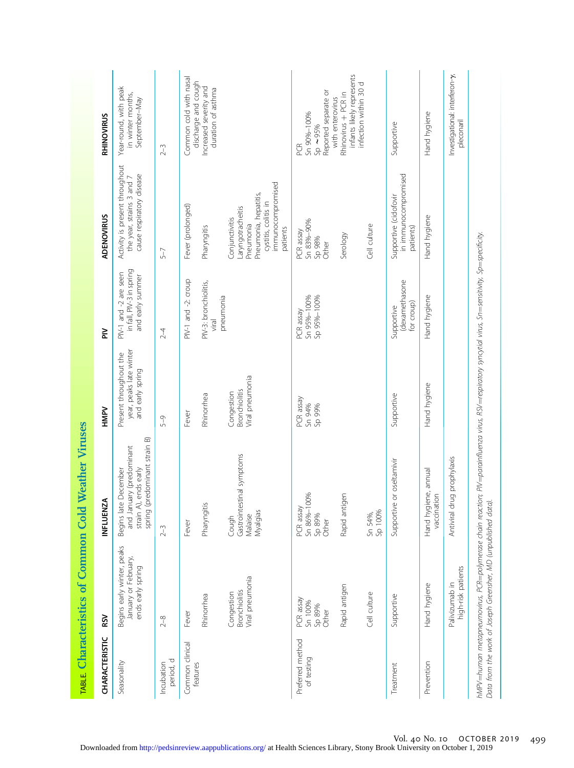| Supportive<br>$\text{Sp} \sim 95\%$<br>PCR<br>$2 - 3$<br>Activity is present throughout<br>cause respiratory disease<br>in immunocompromised<br>the year, strains 3 and 7<br>immunocompromised<br>Pneumonia, hepatitis,<br>Supportive (cidofovir<br>cystitis, colitis in<br>Fever (prolonged)<br>Laryngotracheitis<br>Hand hygiene<br>Conjunctivitis<br>Sn 83%-90%<br>Pneumonia<br>Cell culture<br>patients)<br>Pharyngitis<br>patients<br>PCR assay<br>Serology<br>Sp 98%<br>Other<br>$5 - 7$<br>in fall, PIV-3 in spring<br>PIV-1 and -2 are seen<br>and early summer<br>PIV-1 and -2: croup<br>(dexamethasone<br>PIV-3: bronchiolitis,<br>Sn 95%-100%<br>Sp 95%-100%<br>Hand hygiene<br>pneumonia<br>for croup)<br>Supportive<br>PCR assay<br>viral<br>$2 - 4$<br>year, peaks late winter<br>Present throughout the<br>and early spring<br>Viral pneumonia<br>Hand hygiene<br><b>Bronchiolitis</b><br>Congestion<br>Rhinorrhea<br>Supportive<br>PCR assay<br>Sn 94%<br>Sp 99%<br>Fever<br>5-9<br>(predominant strain B)<br>and January (predominant<br>Gastrointestinal symptoms<br>drug prophylaxis<br>Supportive or oseltamivin<br>strain A), ends early<br>Begins late December<br>Hand hygiene, annual<br>Sn 86%-100%<br>vaccination<br>Rapid antigen<br>Pharyngitis<br>PCR assay<br>spring<br>Myalgias<br>Sp 100%<br>Malaise<br>Sp 89%<br>Sn 54%,<br>Antiviral<br>Cough<br>Other<br>Fever<br>$2 - 3$<br>Begins early winter, peaks<br>January or February,<br>ends early spring<br>high-risk patients<br>Viral pneumonia<br>Palivizumab in<br>Hand hygiene<br>Rapid antigen<br><b>Bronchiolitis</b><br>Congestion<br>Cell culture<br>Rhinorrhea<br>Supportive<br>PCR assay<br>Sn 100%<br>Sp 89%<br>Other<br>Fever<br>$2 - 8$<br>Preferred method<br>Common clinical<br>of testing<br>period, d<br>Seasonality<br>Incubation<br>Prevention<br>features<br>Treatment | CHARACTERISTIC | RSν | <b>INFLUENZA</b> | HMPV | $\geq$ | <b>ADENOVIRUS</b> | RHINOVIRUS                                                                |
|----------------------------------------------------------------------------------------------------------------------------------------------------------------------------------------------------------------------------------------------------------------------------------------------------------------------------------------------------------------------------------------------------------------------------------------------------------------------------------------------------------------------------------------------------------------------------------------------------------------------------------------------------------------------------------------------------------------------------------------------------------------------------------------------------------------------------------------------------------------------------------------------------------------------------------------------------------------------------------------------------------------------------------------------------------------------------------------------------------------------------------------------------------------------------------------------------------------------------------------------------------------------------------------------------------------------------------------------------------------------------------------------------------------------------------------------------------------------------------------------------------------------------------------------------------------------------------------------------------------------------------------------------------------------------------------------------------------------------------------------------------------------------------------------------------------------------------------------------------------------------|----------------|-----|------------------|------|--------|-------------------|---------------------------------------------------------------------------|
|                                                                                                                                                                                                                                                                                                                                                                                                                                                                                                                                                                                                                                                                                                                                                                                                                                                                                                                                                                                                                                                                                                                                                                                                                                                                                                                                                                                                                                                                                                                                                                                                                                                                                                                                                                                                                                                                            |                |     |                  |      |        |                   | Year-round, with peak<br>in winter months,<br>September-May               |
|                                                                                                                                                                                                                                                                                                                                                                                                                                                                                                                                                                                                                                                                                                                                                                                                                                                                                                                                                                                                                                                                                                                                                                                                                                                                                                                                                                                                                                                                                                                                                                                                                                                                                                                                                                                                                                                                            |                |     |                  |      |        |                   |                                                                           |
|                                                                                                                                                                                                                                                                                                                                                                                                                                                                                                                                                                                                                                                                                                                                                                                                                                                                                                                                                                                                                                                                                                                                                                                                                                                                                                                                                                                                                                                                                                                                                                                                                                                                                                                                                                                                                                                                            |                |     |                  |      |        |                   | Common cold with nasal                                                    |
|                                                                                                                                                                                                                                                                                                                                                                                                                                                                                                                                                                                                                                                                                                                                                                                                                                                                                                                                                                                                                                                                                                                                                                                                                                                                                                                                                                                                                                                                                                                                                                                                                                                                                                                                                                                                                                                                            |                |     |                  |      |        |                   | discharge and cough<br>Increased severity and<br>duration of asthma       |
|                                                                                                                                                                                                                                                                                                                                                                                                                                                                                                                                                                                                                                                                                                                                                                                                                                                                                                                                                                                                                                                                                                                                                                                                                                                                                                                                                                                                                                                                                                                                                                                                                                                                                                                                                                                                                                                                            |                |     |                  |      |        |                   |                                                                           |
|                                                                                                                                                                                                                                                                                                                                                                                                                                                                                                                                                                                                                                                                                                                                                                                                                                                                                                                                                                                                                                                                                                                                                                                                                                                                                                                                                                                                                                                                                                                                                                                                                                                                                                                                                                                                                                                                            |                |     |                  |      |        |                   | Reported separate or<br>with enterovirus<br>Sn 90%-100%                   |
|                                                                                                                                                                                                                                                                                                                                                                                                                                                                                                                                                                                                                                                                                                                                                                                                                                                                                                                                                                                                                                                                                                                                                                                                                                                                                                                                                                                                                                                                                                                                                                                                                                                                                                                                                                                                                                                                            |                |     |                  |      |        |                   | infants likely represents<br>infection within 30 d<br>Rhinovirus + PCR in |
|                                                                                                                                                                                                                                                                                                                                                                                                                                                                                                                                                                                                                                                                                                                                                                                                                                                                                                                                                                                                                                                                                                                                                                                                                                                                                                                                                                                                                                                                                                                                                                                                                                                                                                                                                                                                                                                                            |                |     |                  |      |        |                   |                                                                           |
|                                                                                                                                                                                                                                                                                                                                                                                                                                                                                                                                                                                                                                                                                                                                                                                                                                                                                                                                                                                                                                                                                                                                                                                                                                                                                                                                                                                                                                                                                                                                                                                                                                                                                                                                                                                                                                                                            |                |     |                  |      |        |                   |                                                                           |
|                                                                                                                                                                                                                                                                                                                                                                                                                                                                                                                                                                                                                                                                                                                                                                                                                                                                                                                                                                                                                                                                                                                                                                                                                                                                                                                                                                                                                                                                                                                                                                                                                                                                                                                                                                                                                                                                            |                |     |                  |      |        |                   | Hand hygiene                                                              |
|                                                                                                                                                                                                                                                                                                                                                                                                                                                                                                                                                                                                                                                                                                                                                                                                                                                                                                                                                                                                                                                                                                                                                                                                                                                                                                                                                                                                                                                                                                                                                                                                                                                                                                                                                                                                                                                                            |                |     |                  |      |        |                   | Investigational: interferon-y,<br>pleconaril                              |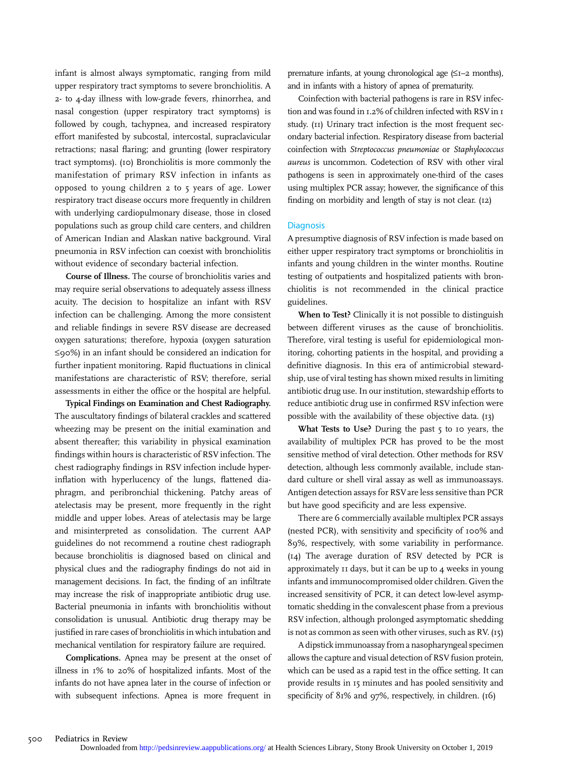infant is almost always symptomatic, ranging from mild upper respiratory tract symptoms to severe bronchiolitis. A 2- to 4-day illness with low-grade fevers, rhinorrhea, and nasal congestion (upper respiratory tract symptoms) is followed by cough, tachypnea, and increased respiratory effort manifested by subcostal, intercostal, supraclavicular retractions; nasal flaring; and grunting (lower respiratory tract symptoms). (10) Bronchiolitis is more commonly the manifestation of primary RSV infection in infants as opposed to young children 2 to 5 years of age. Lower respiratory tract disease occurs more frequently in children with underlying cardiopulmonary disease, those in closed populations such as group child care centers, and children of American Indian and Alaskan native background. Viral pneumonia in RSV infection can coexist with bronchiolitis without evidence of secondary bacterial infection.

Course of Illness. The course of bronchiolitis varies and may require serial observations to adequately assess illness acuity. The decision to hospitalize an infant with RSV infection can be challenging. Among the more consistent and reliable findings in severe RSV disease are decreased oxygen saturations; therefore, hypoxia (oxygen saturation £90%) in an infant should be considered an indication for further inpatient monitoring. Rapid fluctuations in clinical manifestations are characteristic of RSV; therefore, serial assessments in either the office or the hospital are helpful.

Typical Findings on Examination and Chest Radiography. The auscultatory findings of bilateral crackles and scattered wheezing may be present on the initial examination and absent thereafter; this variability in physical examination findings within hours is characteristic of RSV infection. The chest radiography findings in RSV infection include hyperinflation with hyperlucency of the lungs, flattened diaphragm, and peribronchial thickening. Patchy areas of atelectasis may be present, more frequently in the right middle and upper lobes. Areas of atelectasis may be large and misinterpreted as consolidation. The current AAP guidelines do not recommend a routine chest radiograph because bronchiolitis is diagnosed based on clinical and physical clues and the radiography findings do not aid in management decisions. In fact, the finding of an infiltrate may increase the risk of inappropriate antibiotic drug use. Bacterial pneumonia in infants with bronchiolitis without consolidation is unusual. Antibiotic drug therapy may be justified in rare cases of bronchiolitis in which intubation and mechanical ventilation for respiratory failure are required.

Complications. Apnea may be present at the onset of illness in 1% to 20% of hospitalized infants. Most of the infants do not have apnea later in the course of infection or with subsequent infections. Apnea is more frequent in

premature infants, at young chronological age  $(\leq_{1} 2$  months), and in infants with a history of apnea of prematurity.

Coinfection with bacterial pathogens is rare in RSV infection and was found in 1.2% of children infected with RSV in 1 study. (11) Urinary tract infection is the most frequent secondary bacterial infection. Respiratory disease from bacterial coinfection with Streptococcus pneumoniae or Staphylococcus aureus is uncommon. Codetection of RSV with other viral pathogens is seen in approximately one-third of the cases using multiplex PCR assay; however, the significance of this finding on morbidity and length of stay is not clear. (12)

#### **Diagnosis**

A presumptive diagnosis of RSV infection is made based on either upper respiratory tract symptoms or bronchiolitis in infants and young children in the winter months. Routine testing of outpatients and hospitalized patients with bronchiolitis is not recommended in the clinical practice guidelines.

When to Test? Clinically it is not possible to distinguish between different viruses as the cause of bronchiolitis. Therefore, viral testing is useful for epidemiological monitoring, cohorting patients in the hospital, and providing a definitive diagnosis. In this era of antimicrobial stewardship, use of viral testing has shown mixed results in limiting antibiotic drug use. In our institution, stewardship efforts to reduce antibiotic drug use in confirmed RSV infection were possible with the availability of these objective data. (13)

What Tests to Use? During the past 5 to 10 years, the availability of multiplex PCR has proved to be the most sensitive method of viral detection. Other methods for RSV detection, although less commonly available, include standard culture or shell viral assay as well as immunoassays. Antigen detection assays for RSV are less sensitive than PCR but have good specificity and are less expensive.

There are 6 commercially available multiplex PCR assays (nested PCR), with sensitivity and specificity of 100% and 89%, respectively, with some variability in performance. (14) The average duration of RSV detected by PCR is approximately 11 days, but it can be up to 4 weeks in young infants and immunocompromised older children. Given the increased sensitivity of PCR, it can detect low-level asymptomatic shedding in the convalescent phase from a previous RSV infection, although prolonged asymptomatic shedding is not as common as seen with other viruses, such as RV. (15)

A dipstick immunoassay from a nasopharyngeal specimen allows the capture and visual detection of RSV fusion protein, which can be used as a rapid test in the office setting. It can provide results in 15 minutes and has pooled sensitivity and specificity of 81% and 97%, respectively, in children. (16)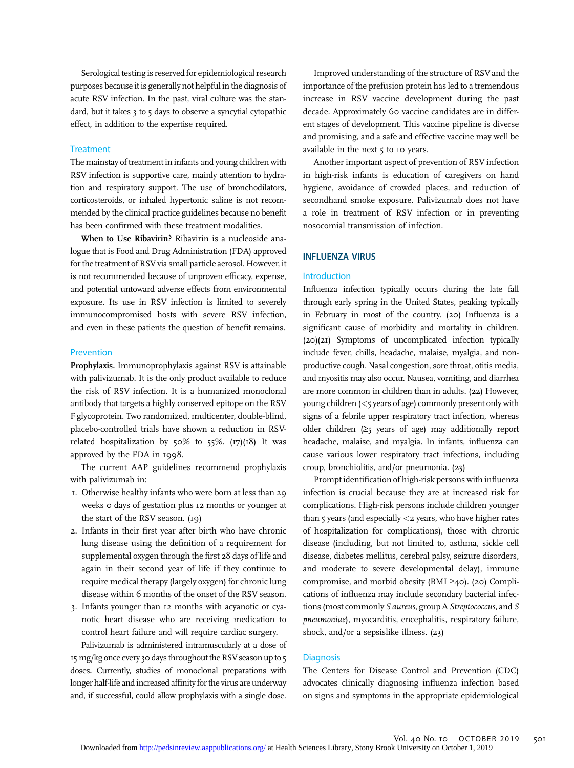Serological testing is reserved for epidemiological research purposes because it is generally not helpful in the diagnosis of acute RSV infection. In the past, viral culture was the standard, but it takes 3 to 5 days to observe a syncytial cytopathic effect, in addition to the expertise required.

#### **Treatment**

The mainstay of treatment in infants and young children with RSV infection is supportive care, mainly attention to hydration and respiratory support. The use of bronchodilators, corticosteroids, or inhaled hypertonic saline is not recommended by the clinical practice guidelines because no benefit has been confirmed with these treatment modalities.

When to Use Ribavirin? Ribavirin is a nucleoside analogue that is Food and Drug Administration (FDA) approved for the treatment of RSV via small particle aerosol. However, it is not recommended because of unproven efficacy, expense, and potential untoward adverse effects from environmental exposure. Its use in RSV infection is limited to severely immunocompromised hosts with severe RSV infection, and even in these patients the question of benefit remains.

#### Prevention

Prophylaxis. Immunoprophylaxis against RSV is attainable with palivizumab. It is the only product available to reduce the risk of RSV infection. It is a humanized monoclonal antibody that targets a highly conserved epitope on the RSV F glycoprotein. Two randomized, multicenter, double-blind, placebo-controlled trials have shown a reduction in RSVrelated hospitalization by  $50\%$  to  $55\%$ . (17)(18) It was approved by the FDA in 1998.

The current AAP guidelines recommend prophylaxis with palivizumab in:

- 1. Otherwise healthy infants who were born at less than 29 weeks 0 days of gestation plus 12 months or younger at the start of the RSV season. (19)
- 2. Infants in their first year after birth who have chronic lung disease using the definition of a requirement for supplemental oxygen through the first 28 days of life and again in their second year of life if they continue to require medical therapy (largely oxygen) for chronic lung disease within 6 months of the onset of the RSV season.
- 3. Infants younger than 12 months with acyanotic or cyanotic heart disease who are receiving medication to control heart failure and will require cardiac surgery.

Palivizumab is administered intramuscularly at a dose of 15 mg/kg once every 30 days throughout the RSV season up to 5 doses. Currently, studies of monoclonal preparations with longer half-life and increased affinity for the virus are underway and, if successful, could allow prophylaxis with a single dose.

Improved understanding of the structure of RSV and the importance of the prefusion protein has led to a tremendous increase in RSV vaccine development during the past decade. Approximately 60 vaccine candidates are in different stages of development. This vaccine pipeline is diverse and promising, and a safe and effective vaccine may well be available in the next 5 to 10 years.

Another important aspect of prevention of RSV infection in high-risk infants is education of caregivers on hand hygiene, avoidance of crowded places, and reduction of secondhand smoke exposure. Palivizumab does not have a role in treatment of RSV infection or in preventing nosocomial transmission of infection.

#### INFLUENZA VIRUS

#### Introduction

Influenza infection typically occurs during the late fall through early spring in the United States, peaking typically in February in most of the country. (20) Influenza is a significant cause of morbidity and mortality in children. (20)(21) Symptoms of uncomplicated infection typically include fever, chills, headache, malaise, myalgia, and nonproductive cough. Nasal congestion, sore throat, otitis media, and myositis may also occur. Nausea, vomiting, and diarrhea are more common in children than in adults. (22) However, young children (<5 years of age) commonly present only with signs of a febrile upper respiratory tract infection, whereas older children  $(≥5$  years of age) may additionally report headache, malaise, and myalgia. In infants, influenza can cause various lower respiratory tract infections, including croup, bronchiolitis, and/or pneumonia. (23)

Prompt identification of high-risk persons with influenza infection is crucial because they are at increased risk for complications. High-risk persons include children younger than  $\frac{1}{2}$  years (and especially  $\lt$  2 years, who have higher rates of hospitalization for complications), those with chronic disease (including, but not limited to, asthma, sickle cell disease, diabetes mellitus, cerebral palsy, seizure disorders, and moderate to severe developmental delay), immune compromise, and morbid obesity (BMI  $\geq$ 40). (20) Complications of influenza may include secondary bacterial infections (most commonly S aureus, group A Streptococcus, and S pneumoniae), myocarditis, encephalitis, respiratory failure, shock, and/or a sepsislike illness.  $(23)$ 

#### **Diagnosis**

The Centers for Disease Control and Prevention (CDC) advocates clinically diagnosing influenza infection based on signs and symptoms in the appropriate epidemiological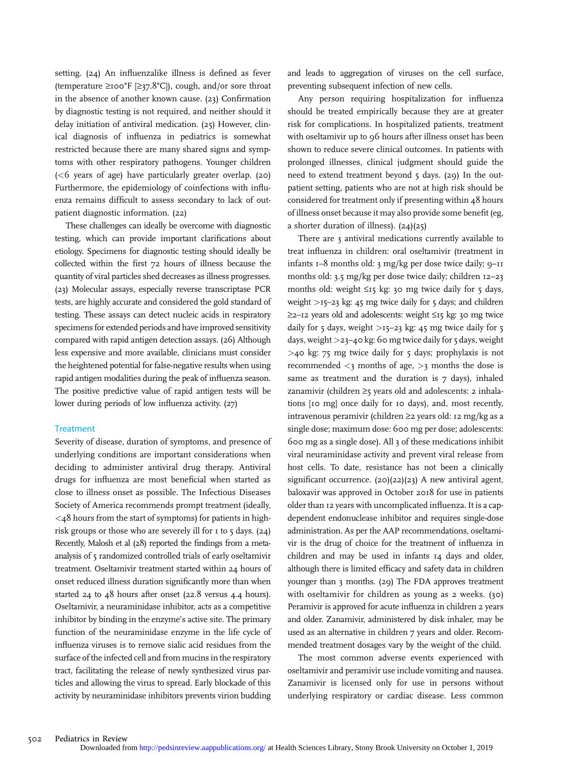setting. (24) An influenzalike illness is defined as fever (temperature  $\geq$ 100°F [ $\geq$ 37.8°C]), cough, and/or sore throat in the absence of another known cause. (23) Confirmation by diagnostic testing is not required, and neither should it delay initiation of antiviral medication. (25) However, clinical diagnosis of influenza in pediatrics is somewhat restricted because there are many shared signs and symptoms with other respiratory pathogens. Younger children (<6 years of age) have particularly greater overlap. (20) Furthermore, the epidemiology of coinfections with influenza remains difficult to assess secondary to lack of outpatient diagnostic information. (22)

These challenges can ideally be overcome with diagnostic testing, which can provide important clarifications about etiology. Specimens for diagnostic testing should ideally be collected within the first 72 hours of illness because the quantity of viral particles shed decreases as illness progresses. (23) Molecular assays, especially reverse transcriptase PCR tests, are highly accurate and considered the gold standard of testing. These assays can detect nucleic acids in respiratory specimens for extended periods and have improved sensitivity compared with rapid antigen detection assays. (26) Although less expensive and more available, clinicians must consider the heightened potential for false-negative results when using rapid antigen modalities during the peak of influenza season. The positive predictive value of rapid antigen tests will be lower during periods of low influenza activity. (27)

#### **Treatment**

Severity of disease, duration of symptoms, and presence of underlying conditions are important considerations when deciding to administer antiviral drug therapy. Antiviral drugs for influenza are most beneficial when started as close to illness onset as possible. The Infectious Diseases Society of America recommends prompt treatment (ideally,  $<$  48 hours from the start of symptoms) for patients in highrisk groups or those who are severely ill for  $I$  to  $\zeta$  days. (24) Recently, Malosh et al (28) reported the findings from a metaanalysis of 5 randomized controlled trials of early oseltamivir treatment. Oseltamivir treatment started within 24 hours of onset reduced illness duration significantly more than when started 24 to 48 hours after onset (22.8 versus 4.4 hours). Oseltamivir, a neuraminidase inhibitor, acts as a competitive inhibitor by binding in the enzyme's active site. The primary function of the neuraminidase enzyme in the life cycle of influenza viruses is to remove sialic acid residues from the surface of the infected cell and from mucins in the respiratory tract, facilitating the release of newly synthesized virus particles and allowing the virus to spread. Early blockade of this activity by neuraminidase inhibitors prevents virion budding

and leads to aggregation of viruses on the cell surface, preventing subsequent infection of new cells.

Any person requiring hospitalization for influenza should be treated empirically because they are at greater risk for complications. In hospitalized patients, treatment with oseltamivir up to 96 hours after illness onset has been shown to reduce severe clinical outcomes. In patients with prolonged illnesses, clinical judgment should guide the need to extend treatment beyond 5 days. (29) In the outpatient setting, patients who are not at high risk should be considered for treatment only if presenting within 48 hours of illness onset because it may also provide some benefit (eg, a shorter duration of illness).  $(24)(25)$ 

There are 3 antiviral medications currently available to treat influenza in children: oral oseltamivir (treatment in infants 1–8 months old: 3 mg/kg per dose twice daily; 9–11 months old: 3.5 mg/kg per dose twice daily; children 12–23 months old: weight  $\leq$ 15 kg: 30 mg twice daily for 5 days, weight  $>15-23$  kg: 45 mg twice daily for 5 days; and children  $\geq$ 2–12 years old and adolescents: weight  $\leq$ 15 kg: 30 mg twice daily for 5 days, weight  $>15-23$  kg: 45 mg twice daily for 5 days, weight  $>$ 23–40 kg: 60 mg twice daily for 5 days, weight  $>$ 40 kg: 75 mg twice daily for 5 days; prophylaxis is not recommended  $\langle 3 \rangle$  months of age,  $>3 \rangle$  months the dose is same as treatment and the duration is  $7$  days), inhaled zanamivir (children  $\geq$ 5 years old and adolescents: 2 inhalations [10 mg] once daily for 10 days), and, most recently, intravenous peramivir (children  $\geq$  years old: 12 mg/kg as a single dose; maximum dose: 600 mg per dose; adolescents: 600 mg as a single dose). All 3 of these medications inhibit viral neuraminidase activity and prevent viral release from host cells. To date, resistance has not been a clinically significant occurrence. (20)(22)(23) A new antiviral agent, baloxavir was approved in October 2018 for use in patients older than 12 years with uncomplicated influenza. It is a capdependent endonuclease inhibitor and requires single-dose administration. As per the AAP recommendations, oseltamivir is the drug of choice for the treatment of influenza in children and may be used in infants 14 days and older, although there is limited efficacy and safety data in children younger than 3 months. (29) The FDA approves treatment with oseltamivir for children as young as 2 weeks. (30) Peramivir is approved for acute influenza in children 2 years and older. Zanamivir, administered by disk inhaler, may be used as an alternative in children 7 years and older. Recommended treatment dosages vary by the weight of the child.

The most common adverse events experienced with oseltamivir and peramivir use include vomiting and nausea. Zanamivir is licensed only for use in persons without underlying respiratory or cardiac disease. Less common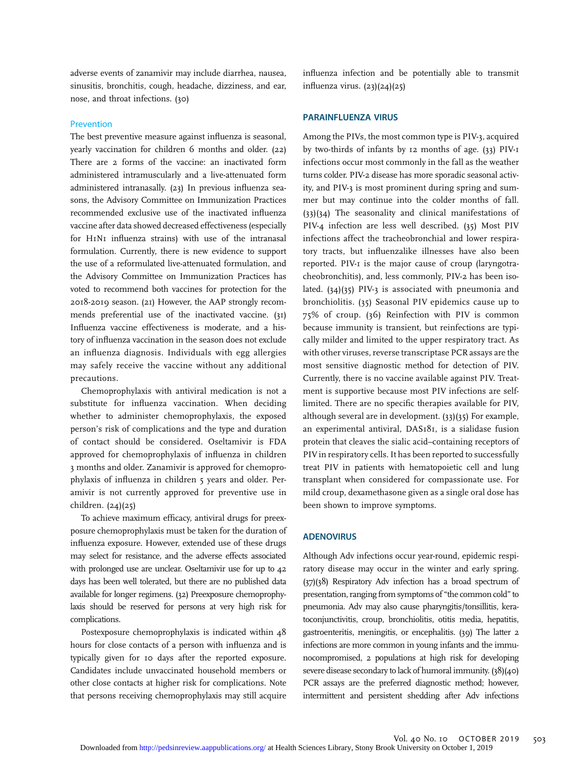adverse events of zanamivir may include diarrhea, nausea, sinusitis, bronchitis, cough, headache, dizziness, and ear, nose, and throat infections. (30)

#### Prevention

The best preventive measure against influenza is seasonal, yearly vaccination for children 6 months and older. (22) There are 2 forms of the vaccine: an inactivated form administered intramuscularly and a live-attenuated form administered intranasally. (23) In previous influenza seasons, the Advisory Committee on Immunization Practices recommended exclusive use of the inactivated influenza vaccine after data showed decreased effectiveness (especially for H1N1 influenza strains) with use of the intranasal formulation. Currently, there is new evidence to support the use of a reformulated live-attenuated formulation, and the Advisory Committee on Immunization Practices has voted to recommend both vaccines for protection for the 2018-2019 season. (21) However, the AAP strongly recommends preferential use of the inactivated vaccine. (31) Influenza vaccine effectiveness is moderate, and a history of influenza vaccination in the season does not exclude an influenza diagnosis. Individuals with egg allergies may safely receive the vaccine without any additional precautions.

Chemoprophylaxis with antiviral medication is not a substitute for influenza vaccination. When deciding whether to administer chemoprophylaxis, the exposed person's risk of complications and the type and duration of contact should be considered. Oseltamivir is FDA approved for chemoprophylaxis of influenza in children 3 months and older. Zanamivir is approved for chemoprophylaxis of influenza in children 5 years and older. Peramivir is not currently approved for preventive use in children. (24)(25)

To achieve maximum efficacy, antiviral drugs for preexposure chemoprophylaxis must be taken for the duration of influenza exposure. However, extended use of these drugs may select for resistance, and the adverse effects associated with prolonged use are unclear. Oseltamivir use for up to 42 days has been well tolerated, but there are no published data available for longer regimens. (32) Preexposure chemoprophylaxis should be reserved for persons at very high risk for complications.

Postexposure chemoprophylaxis is indicated within 48 hours for close contacts of a person with influenza and is typically given for 10 days after the reported exposure. Candidates include unvaccinated household members or other close contacts at higher risk for complications. Note that persons receiving chemoprophylaxis may still acquire influenza infection and be potentially able to transmit influenza virus. (23)(24)(25)

#### PARAINFLUENZA VIRUS

Among the PIVs, the most common type is PIV-3, acquired by two-thirds of infants by 12 months of age. (33) PIV-1 infections occur most commonly in the fall as the weather turns colder. PIV-2 disease has more sporadic seasonal activity, and PIV-3 is most prominent during spring and summer but may continue into the colder months of fall. (33)(34) The seasonality and clinical manifestations of PIV-4 infection are less well described. (35) Most PIV infections affect the tracheobronchial and lower respiratory tracts, but influenzalike illnesses have also been reported. PIV-1 is the major cause of croup (laryngotracheobronchitis), and, less commonly, PIV-2 has been isolated. (34)(35) PIV-3 is associated with pneumonia and bronchiolitis. (35) Seasonal PIV epidemics cause up to 75% of croup. (36) Reinfection with PIV is common because immunity is transient, but reinfections are typically milder and limited to the upper respiratory tract. As with other viruses, reverse transcriptase PCR assays are the most sensitive diagnostic method for detection of PIV. Currently, there is no vaccine available against PIV. Treatment is supportive because most PIV infections are selflimited. There are no specific therapies available for PIV, although several are in development. (33)(35) For example, an experimental antiviral, DAS181, is a sialidase fusion protein that cleaves the sialic acid–containing receptors of PIV in respiratory cells. It has been reported to successfully treat PIV in patients with hematopoietic cell and lung transplant when considered for compassionate use. For mild croup, dexamethasone given as a single oral dose has been shown to improve symptoms.

#### ADENOVIRUS

Although Adv infections occur year-round, epidemic respiratory disease may occur in the winter and early spring. (37)(38) Respiratory Adv infection has a broad spectrum of presentation, ranging from symptoms of "the common cold" to pneumonia. Adv may also cause pharyngitis/tonsillitis, keratoconjunctivitis, croup, bronchiolitis, otitis media, hepatitis, gastroenteritis, meningitis, or encephalitis. (39) The latter 2 infections are more common in young infants and the immunocompromised, 2 populations at high risk for developing severe disease secondary to lack of humoral immunity. (38)(40) PCR assays are the preferred diagnostic method; however, intermittent and persistent shedding after Adv infections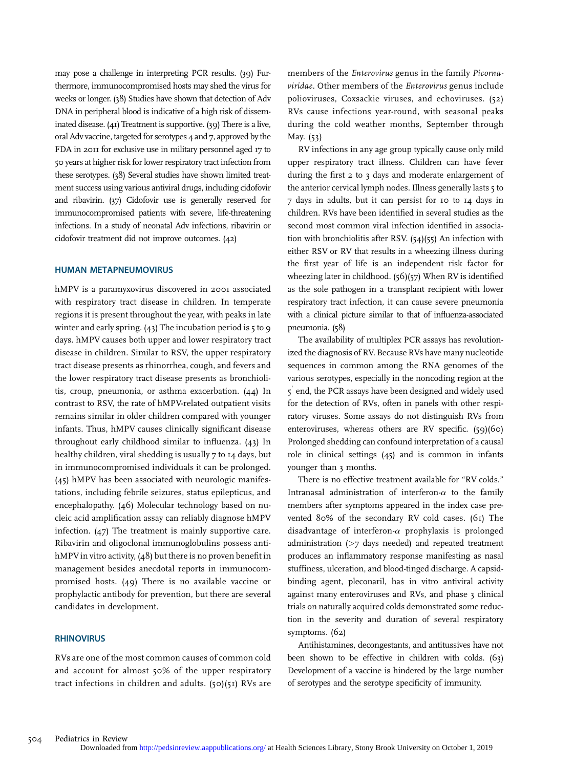may pose a challenge in interpreting PCR results. (39) Furthermore, immunocompromised hosts may shed the virus for weeks or longer. (38) Studies have shown that detection of Adv DNA in peripheral blood is indicative of a high risk of disseminated disease. (41) Treatment is supportive. (39) There is a live, oral Adv vaccine, targeted for serotypes 4 and 7, approved by the FDA in 2011 for exclusive use in military personnel aged 17 to 50 years at higher risk for lower respiratory tract infection from these serotypes. (38) Several studies have shown limited treatment success using various antiviral drugs, including cidofovir and ribavirin. (37) Cidofovir use is generally reserved for immunocompromised patients with severe, life-threatening infections. In a study of neonatal Adv infections, ribavirin or cidofovir treatment did not improve outcomes. (42)

#### HUMAN METAPNEUMOVIRUS

hMPV is a paramyxovirus discovered in 2001 associated with respiratory tract disease in children. In temperate regions it is present throughout the year, with peaks in late winter and early spring.  $(43)$  The incubation period is 5 to 9 days. hMPV causes both upper and lower respiratory tract disease in children. Similar to RSV, the upper respiratory tract disease presents as rhinorrhea, cough, and fevers and the lower respiratory tract disease presents as bronchiolitis, croup, pneumonia, or asthma exacerbation. (44) In contrast to RSV, the rate of hMPV-related outpatient visits remains similar in older children compared with younger infants. Thus, hMPV causes clinically significant disease throughout early childhood similar to influenza. (43) In healthy children, viral shedding is usually 7 to 14 days, but in immunocompromised individuals it can be prolonged. (45) hMPV has been associated with neurologic manifestations, including febrile seizures, status epilepticus, and encephalopathy. (46) Molecular technology based on nucleic acid amplification assay can reliably diagnose hMPV infection. (47) The treatment is mainly supportive care. Ribavirin and oligoclonal immunoglobulins possess antihMPV in vitro activity, (48) but there is no proven benefit in management besides anecdotal reports in immunocompromised hosts. (49) There is no available vaccine or prophylactic antibody for prevention, but there are several candidates in development.

#### RHINOVIRUS

RVs are one of the most common causes of common cold and account for almost 50% of the upper respiratory tract infections in children and adults. (50)(51) RVs are members of the Enterovirus genus in the family Picornaviridae. Other members of the Enterovirus genus include polioviruses, Coxsackie viruses, and echoviruses. (52) RVs cause infections year-round, with seasonal peaks during the cold weather months, September through May. (53)

RV infections in any age group typically cause only mild upper respiratory tract illness. Children can have fever during the first 2 to 3 days and moderate enlargement of the anterior cervical lymph nodes. Illness generally lasts 5 to 7 days in adults, but it can persist for 10 to 14 days in children. RVs have been identified in several studies as the second most common viral infection identified in association with bronchiolitis after RSV. (54)(55) An infection with either RSV or RV that results in a wheezing illness during the first year of life is an independent risk factor for wheezing later in childhood. (56)(57) When RV is identified as the sole pathogen in a transplant recipient with lower respiratory tract infection, it can cause severe pneumonia with a clinical picture similar to that of influenza-associated pneumonia. (58)

The availability of multiplex PCR assays has revolutionized the diagnosis of RV. Because RVs have many nucleotide sequences in common among the RNA genomes of the various serotypes, especially in the noncoding region at the 5<sup>'</sup> end, the PCR assays have been designed and widely used for the detection of RVs, often in panels with other respiratory viruses. Some assays do not distinguish RVs from enteroviruses, whereas others are RV specific. (59)(60) Prolonged shedding can confound interpretation of a causal role in clinical settings (45) and is common in infants younger than 3 months.

There is no effective treatment available for "RV colds." Intranasal administration of interferon- $\alpha$  to the family members after symptoms appeared in the index case prevented 80% of the secondary RV cold cases. (61) The disadvantage of interferon- $\alpha$  prophylaxis is prolonged administration (>7 days needed) and repeated treatment produces an inflammatory response manifesting as nasal stuffiness, ulceration, and blood-tinged discharge. A capsidbinding agent, pleconaril, has in vitro antiviral activity against many enteroviruses and RVs, and phase 3 clinical trials on naturally acquired colds demonstrated some reduction in the severity and duration of several respiratory symptoms. (62)

Antihistamines, decongestants, and antitussives have not been shown to be effective in children with colds. (63) Development of a vaccine is hindered by the large number of serotypes and the serotype specificity of immunity.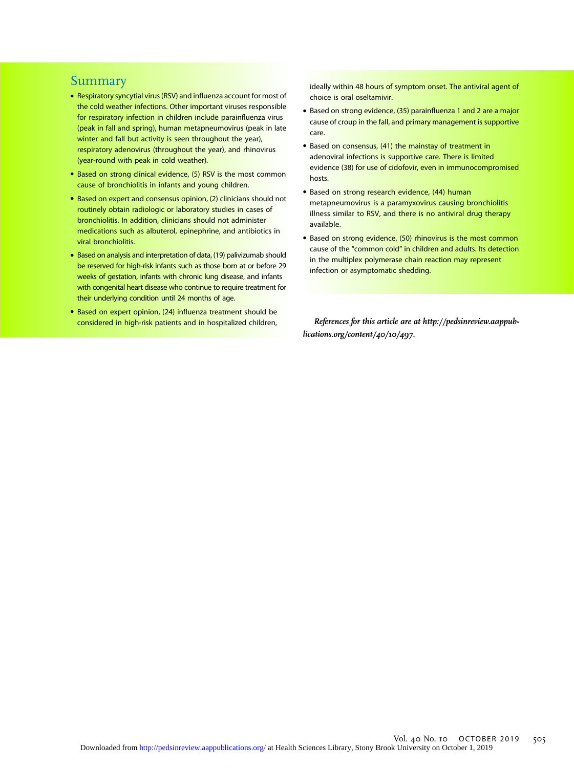### Summary

- Respiratory syncytial virus (RSV) and influenza account for most of the cold weather infections. Other important viruses responsible for respiratory infection in children include parainfluenza virus (peak in fall and spring), human metapneumovirus (peak in late winter and fall but activity is seen throughout the year), respiratory adenovirus (throughout the year), and rhinovirus (year-round with peak in cold weather).
- Based on strong clinical evidence, (5) RSV is the most common cause of bronchiolitis in infants and young children.
- Based on expert and consensus opinion, (2) clinicians should not routinely obtain radiologic or laboratory studies in cases of bronchiolitis. In addition, clinicians should not administer medications such as albuterol, epinephrine, and antibiotics in viral bronchiolitis.
- Based on analysis and interpretation of data, (19) palivizumab should be reserved for high-risk infants such as those born at or before 29 weeks of gestation, infants with chronic lung disease, and infants with congenital heart disease who continue to require treatment for their underlying condition until 24 months of age.
- Based on expert opinion, (24) influenza treatment should be considered in high-risk patients and in hospitalized children,

ideally within 48 hours of symptom onset. The antiviral agent of choice is oral oseltamivir.

- Based on strong evidence, (35) parainfluenza 1 and 2 are a major cause of croup in the fall, and primary management is supportive care.
- Based on consensus, (41) the mainstay of treatment in adenoviral infections is supportive care. There is limited evidence (38) for use of cidofovir, even in immunocompromised hosts.
- Based on strong research evidence, (44) human metapneumovirus is a paramyxovirus causing bronchiolitis illness similar to RSV, and there is no antiviral drug therapy available.
- Based on strong evidence, (50) rhinovirus is the most common cause of the "common cold" in children and adults. Its detection in the multiplex polymerase chain reaction may represent infection or asymptomatic shedding.

References for this article are at [http://pedsinreview.aappub](http://pedsinreview.aappublications.org/content/40/10/497)[lications.org/content/40/10/497.](http://pedsinreview.aappublications.org/content/40/10/497)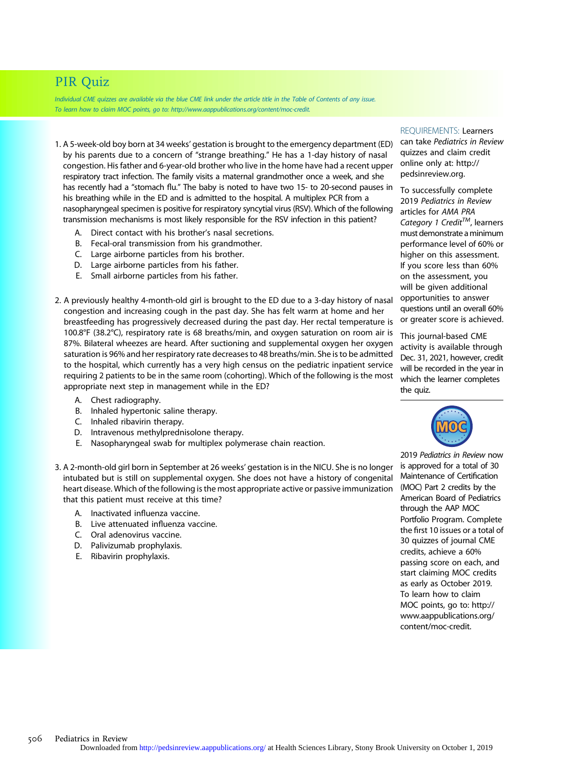# PIR Quiz

Individual CME quizzes are available via the blue CME link under the article title in the Table of Contents of any issue. To learn how to claim MOC points, go to: [http://www.aappublications.org/content/moc-credit.](http://www.aappublications.org/content/moc-credit)

- 1. A 5-week-old boy born at 34 weeks' gestation is brought to the emergency department (ED) by his parents due to a concern of "strange breathing." He has a 1-day history of nasal congestion. His father and 6-year-old brother who live in the home have had a recent upper respiratory tract infection. The family visits a maternal grandmother once a week, and she has recently had a "stomach flu." The baby is noted to have two 15- to 20-second pauses in his breathing while in the ED and is admitted to the hospital. A multiplex PCR from a nasopharyngeal specimen is positive for respiratory syncytial virus (RSV). Which of the following transmission mechanisms is most likely responsible for the RSV infection in this patient?
	- A. Direct contact with his brother's nasal secretions.
	- B. Fecal-oral transmission from his grandmother.
	- C. Large airborne particles from his brother.
	- D. Large airborne particles from his father.
	- E. Small airborne particles from his father.
- 2. A previously healthy 4-month-old girl is brought to the ED due to a 3-day history of nasal congestion and increasing cough in the past day. She has felt warm at home and her breastfeeding has progressively decreased during the past day. Her rectal temperature is 100.8°F (38.2°C), respiratory rate is 68 breaths/min, and oxygen saturation on room air is 87%. Bilateral wheezes are heard. After suctioning and supplemental oxygen her oxygen saturation is 96% and her respiratory rate decreases to 48 breaths/min. She is to be admitted to the hospital, which currently has a very high census on the pediatric inpatient service requiring 2 patients to be in the same room (cohorting). Which of the following is the most appropriate next step in management while in the ED?
	- A. Chest radiography.
	- B. Inhaled hypertonic saline therapy.
	- C. Inhaled ribavirin therapy.
	- D. Intravenous methylprednisolone therapy.
	- E. Nasopharyngeal swab for multiplex polymerase chain reaction.

3. A 2-month-old girl born in September at 26 weeks' gestation is in the NICU. She is no longer intubated but is still on supplemental oxygen. She does not have a history of congenital heart disease. Which of the following is the most appropriate active or passive immunization that this patient must receive at this time?

- A. Inactivated influenza vaccine.
- B. Live attenuated influenza vaccine.
- C. Oral adenovirus vaccine.
- D. Palivizumab prophylaxis.
- E. Ribavirin prophylaxis.

# REQUIREMENTS: Learners

can take Pediatrics in Review quizzes and claim credit online only at: [http://](http://pedsinreview.org) [pedsinreview.org](http://pedsinreview.org).

To successfully complete 2019 Pediatrics in Review articles for AMA PRA Category 1 Credit<sup>TM</sup>, learners must demonstrate aminimum performance level of 60% or higher on this assessment. If you score less than 60% on the assessment, you will be given additional opportunities to answer questions until an overall 60% or greater score is achieved.

This journal-based CME activity is available through Dec. 31, 2021, however, credit will be recorded in the year in which the learner completes the quiz.



2019 Pediatrics in Review now is approved for a total of 30 Maintenance of Certification (MOC) Part 2 credits by the American Board of Pediatrics through the AAP MOC Portfolio Program. Complete the first 10 issues or a total of 30 quizzes of journal CME credits, achieve a 60% passing score on each, and start claiming MOC credits as early as October 2019. To learn how to claim MOC points, go to: [http://](http://www.aappublications.org/content/moc-credit) [www.aappublications.org/](http://www.aappublications.org/content/moc-credit) [content/moc-credit.](http://www.aappublications.org/content/moc-credit)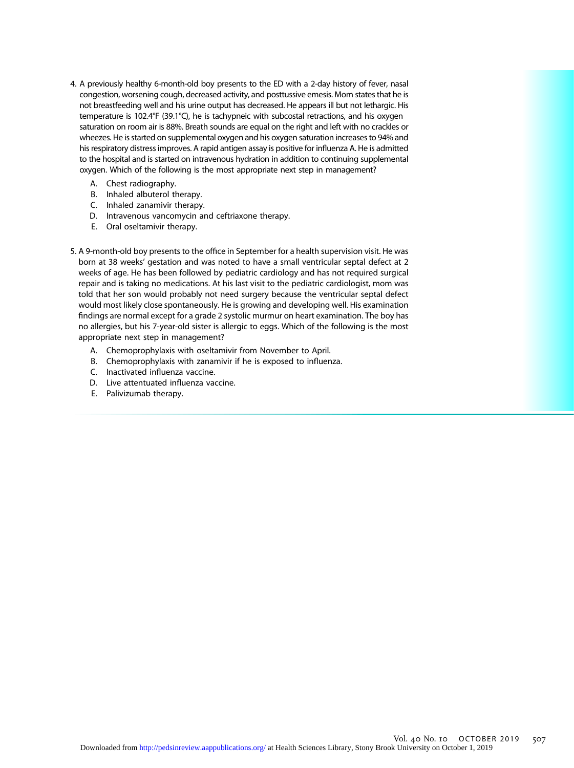- 4. A previously healthy 6-month-old boy presents to the ED with a 2-day history of fever, nasal congestion, worsening cough, decreased activity, and posttussive emesis. Mom states that he is not breastfeeding well and his urine output has decreased. He appears ill but not lethargic. His temperature is 102.4°F (39.1°C), he is tachypneic with subcostal retractions, and his oxygen saturation on room air is 88%. Breath sounds are equal on the right and left with no crackles or wheezes. He is started on supplemental oxygen and his oxygen saturation increases to 94% and his respiratory distress improves. A rapid antigen assay is positive for influenza A. He is admitted to the hospital and is started on intravenous hydration in addition to continuing supplemental oxygen. Which of the following is the most appropriate next step in management?
	- A. Chest radiography.
	- B. Inhaled albuterol therapy.
	- C. Inhaled zanamivir therapy.
	- D. Intravenous vancomycin and ceftriaxone therapy.
	- E. Oral oseltamivir therapy.
- 5. A 9-month-old boy presents to the office in September for a health supervision visit. He was born at 38 weeks' gestation and was noted to have a small ventricular septal defect at 2 weeks of age. He has been followed by pediatric cardiology and has not required surgical repair and is taking no medications. At his last visit to the pediatric cardiologist, mom was told that her son would probably not need surgery because the ventricular septal defect would most likely close spontaneously. He is growing and developing well. His examination findings are normal except for a grade 2 systolic murmur on heart examination. The boy has no allergies, but his 7-year-old sister is allergic to eggs. Which of the following is the most appropriate next step in management?
	- A. Chemoprophylaxis with oseltamivir from November to April.
	- B. Chemoprophylaxis with zanamivir if he is exposed to influenza.
	- C. Inactivated influenza vaccine.
	- D. Live attentuated influenza vaccine.
	- E. Palivizumab therapy.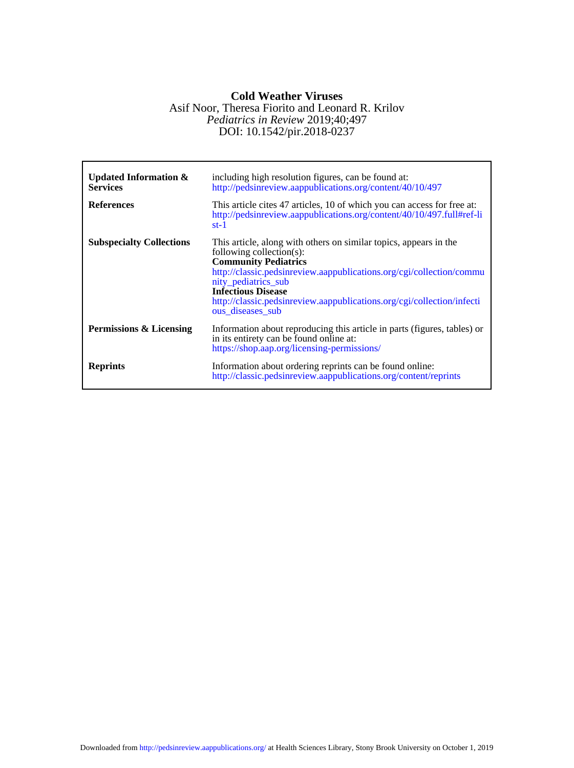# **Cold Weather Viruses**

### DOI: 10.1542/pir.2018-0237 *Pediatrics in Review* 2019;40;497 Asif Noor, Theresa Fiorito and Leonard R. Krilov

| <b>Updated Information &amp;</b><br><b>Services</b> | including high resolution figures, can be found at:<br>http://pedsinreview.aappublications.org/content/40/10/497                                                                                                                                                                                                                                       |
|-----------------------------------------------------|--------------------------------------------------------------------------------------------------------------------------------------------------------------------------------------------------------------------------------------------------------------------------------------------------------------------------------------------------------|
| <b>References</b>                                   | This article cites 47 articles, 10 of which you can access for free at:<br>http://pedsinreview.aappublications.org/content/40/10/497.full#ref-li<br>$st-1$                                                                                                                                                                                             |
| <b>Subspecialty Collections</b>                     | This article, along with others on similar topics, appears in the<br>following collection(s):<br><b>Community Pediatrics</b><br>http://classic.pedsinreview.aappublications.org/cgi/collection/commu<br>nity_pediatrics_sub<br><b>Infectious Disease</b><br>http://classic.pedsinreview.aappublications.org/cgi/collection/infecti<br>ous diseases sub |
| Permissions & Licensing                             | Information about reproducing this article in parts (figures, tables) or<br>in its entirety can be found online at:<br>https://shop.aap.org/licensing-permissions/                                                                                                                                                                                     |
| <b>Reprints</b>                                     | Information about ordering reprints can be found online:<br>http://classic.pedsinreview.aappublications.org/content/reprints                                                                                                                                                                                                                           |